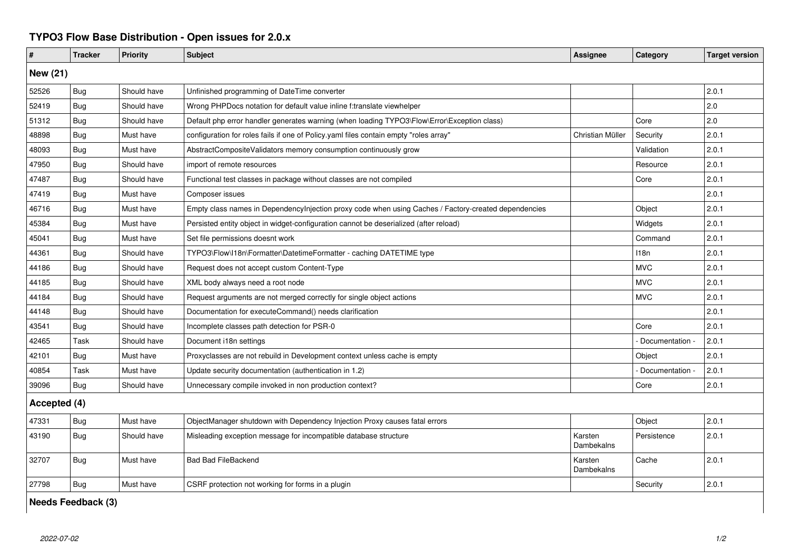## **TYPO3 Flow Base Distribution - Open issues for 2.0.x**

| #               | <b>Tracker</b> | <b>Priority</b> | <b>Subject</b>                                                                                       | <b>Assignee</b>       | Category        | <b>Target version</b> |  |  |  |
|-----------------|----------------|-----------------|------------------------------------------------------------------------------------------------------|-----------------------|-----------------|-----------------------|--|--|--|
| <b>New (21)</b> |                |                 |                                                                                                      |                       |                 |                       |  |  |  |
| 52526           | <b>Bug</b>     | Should have     | Unfinished programming of DateTime converter                                                         |                       |                 | 2.0.1                 |  |  |  |
| 52419           | Bug            | Should have     | Wrong PHPDocs notation for default value inline f:translate viewhelper                               |                       |                 | 2.0                   |  |  |  |
| 51312           | Bug            | Should have     | Default php error handler generates warning (when loading TYPO3\Flow\Error\Exception class)          |                       | Core            | 2.0                   |  |  |  |
| 48898           | Bug            | Must have       | configuration for roles fails if one of Policy yaml files contain empty "roles array"                | Christian Müller      | Security        | 2.0.1                 |  |  |  |
| 48093           | <b>Bug</b>     | Must have       | AbstractCompositeValidators memory consumption continuously grow                                     |                       | Validation      | 2.0.1                 |  |  |  |
| 47950           | Bug            | Should have     | import of remote resources                                                                           |                       | Resource        | 2.0.1                 |  |  |  |
| 47487           | Bug            | Should have     | Functional test classes in package without classes are not compiled                                  |                       | Core            | 2.0.1                 |  |  |  |
| 47419           | <b>Bug</b>     | Must have       | Composer issues                                                                                      |                       |                 | 2.0.1                 |  |  |  |
| 46716           | Bug            | Must have       | Empty class names in DependencyInjection proxy code when using Caches / Factory-created dependencies |                       | Object          | 2.0.1                 |  |  |  |
| 45384           | <b>Bug</b>     | Must have       | Persisted entity object in widget-configuration cannot be deserialized (after reload)                |                       | Widgets         | 2.0.1                 |  |  |  |
| 45041           | Bug            | Must have       | Set file permissions doesnt work                                                                     |                       | Command         | 2.0.1                 |  |  |  |
| 44361           | Bug            | Should have     | TYPO3\Flow\I18n\Formatter\DatetimeFormatter - caching DATETIME type                                  |                       | 118n            | 2.0.1                 |  |  |  |
| 44186           | <b>Bug</b>     | Should have     | Request does not accept custom Content-Type                                                          |                       | <b>MVC</b>      | 2.0.1                 |  |  |  |
| 44185           | Bug            | Should have     | XML body always need a root node                                                                     |                       | <b>MVC</b>      | 2.0.1                 |  |  |  |
| 44184           | Bug            | Should have     | Request arguments are not merged correctly for single object actions                                 |                       | <b>MVC</b>      | 2.0.1                 |  |  |  |
| 44148           | Bug            | Should have     | Documentation for executeCommand() needs clarification                                               |                       |                 | 2.0.1                 |  |  |  |
| 43541           | Bug            | Should have     | Incomplete classes path detection for PSR-0                                                          |                       | Core            | 2.0.1                 |  |  |  |
| 42465           | Task           | Should have     | Document i18n settings                                                                               |                       | Documentation - | 2.0.1                 |  |  |  |
| 42101           | Bug            | Must have       | Proxyclasses are not rebuild in Development context unless cache is empty                            |                       | Object          | 2.0.1                 |  |  |  |
| 40854           | Task           | Must have       | Update security documentation (authentication in 1.2)                                                |                       | Documentation - | 2.0.1                 |  |  |  |
| 39096           | Bug            | Should have     | Unnecessary compile invoked in non production context?                                               |                       | Core            | 2.0.1                 |  |  |  |
| Accepted (4)    |                |                 |                                                                                                      |                       |                 |                       |  |  |  |
| 47331           | <b>Bug</b>     | Must have       | ObjectManager shutdown with Dependency Injection Proxy causes fatal errors                           |                       | Object          | 2.0.1                 |  |  |  |
| 43190           | Bug            | Should have     | Misleading exception message for incompatible database structure                                     | Karsten<br>Dambekalns | Persistence     | 2.0.1                 |  |  |  |
| 32707           | Bug            | Must have       | <b>Bad Bad FileBackend</b>                                                                           | Karsten<br>Dambekalns | Cache           | 2.0.1                 |  |  |  |
| 27798           | Bug            | Must have       | CSRF protection not working for forms in a plugin                                                    |                       | Security        | 2.0.1                 |  |  |  |

**Needs Feedback (3)**